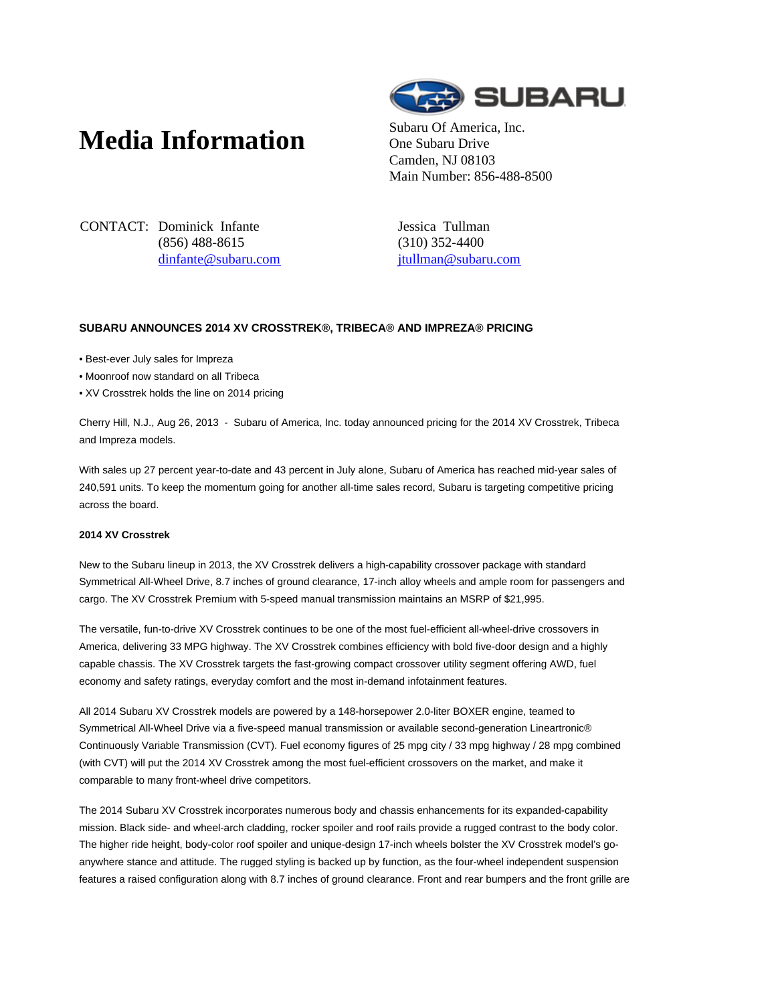# **Media Information** Subaru Of America, Inc.



One Subaru Drive Camden, NJ 08103 Main Number: 856-488-8500

CONTACT: Dominick Infante (856) 488-8615 dinfante@subaru.com

Jessica Tullman (310) 352-4400 jtullman@subaru.com

## **SUBARU ANNOUNCES 2014 XV CROSSTREK®, TRIBECA® AND IMPREZA® PRICING**

- Best-ever July sales for Impreza
- Moonroof now standard on all Tribeca
- XV Crosstrek holds the line on 2014 pricing

Cherry Hill, N.J., Aug 26, 2013 - Subaru of America, Inc. today announced pricing for the 2014 XV Crosstrek, Tribeca and Impreza models.

With sales up 27 percent year-to-date and 43 percent in July alone, Subaru of America has reached mid-year sales of 240,591 units. To keep the momentum going for another all-time sales record, Subaru is targeting competitive pricing across the board.

### **2014 XV Crosstrek**

New to the Subaru lineup in 2013, the XV Crosstrek delivers a high-capability crossover package with standard Symmetrical All-Wheel Drive, 8.7 inches of ground clearance, 17-inch alloy wheels and ample room for passengers and cargo. The XV Crosstrek Premium with 5-speed manual transmission maintains an MSRP of \$21,995.

The versatile, fun-to-drive XV Crosstrek continues to be one of the most fuel-efficient all-wheel-drive crossovers in America, delivering 33 MPG highway. The XV Crosstrek combines efficiency with bold five-door design and a highly capable chassis. The XV Crosstrek targets the fast-growing compact crossover utility segment offering AWD, fuel economy and safety ratings, everyday comfort and the most in-demand infotainment features.

All 2014 Subaru XV Crosstrek models are powered by a 148-horsepower 2.0-liter BOXER engine, teamed to Symmetrical All-Wheel Drive via a five-speed manual transmission or available second-generation Lineartronic® Continuously Variable Transmission (CVT). Fuel economy figures of 25 mpg city / 33 mpg highway / 28 mpg combined (with CVT) will put the 2014 XV Crosstrek among the most fuel-efficient crossovers on the market, and make it comparable to many front-wheel drive competitors.

The 2014 Subaru XV Crosstrek incorporates numerous body and chassis enhancements for its expanded-capability mission. Black side- and wheel-arch cladding, rocker spoiler and roof rails provide a rugged contrast to the body color. The higher ride height, body-color roof spoiler and unique-design 17-inch wheels bolster the XV Crosstrek model's goanywhere stance and attitude. The rugged styling is backed up by function, as the four-wheel independent suspension features a raised configuration along with 8.7 inches of ground clearance. Front and rear bumpers and the front grille are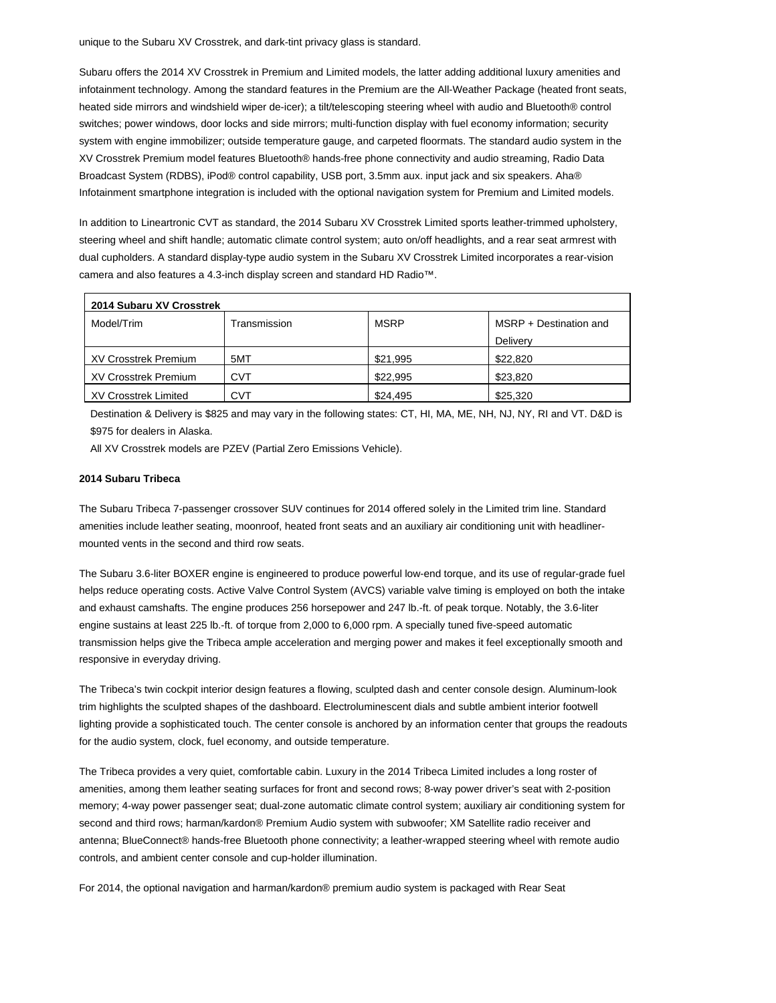unique to the Subaru XV Crosstrek, and dark-tint privacy glass is standard.

Subaru offers the 2014 XV Crosstrek in Premium and Limited models, the latter adding additional luxury amenities and infotainment technology. Among the standard features in the Premium are the All-Weather Package (heated front seats, heated side mirrors and windshield wiper de-icer); a tilt/telescoping steering wheel with audio and Bluetooth® control switches; power windows, door locks and side mirrors; multi-function display with fuel economy information; security system with engine immobilizer; outside temperature gauge, and carpeted floormats. The standard audio system in the XV Crosstrek Premium model features Bluetooth® hands-free phone connectivity and audio streaming, Radio Data Broadcast System (RDBS), iPod® control capability, USB port, 3.5mm aux. input jack and six speakers. Aha® Infotainment smartphone integration is included with the optional navigation system for Premium and Limited models.

In addition to Lineartronic CVT as standard, the 2014 Subaru XV Crosstrek Limited sports leather-trimmed upholstery, steering wheel and shift handle; automatic climate control system; auto on/off headlights, and a rear seat armrest with dual cupholders. A standard display-type audio system in the Subaru XV Crosstrek Limited incorporates a rear-vision camera and also features a 4.3-inch display screen and standard HD Radio™.

| 2014 Subaru XV Crosstrek    |              |             |                        |  |
|-----------------------------|--------------|-------------|------------------------|--|
| Model/Trim                  | اransmission | <b>MSRP</b> | MSRP + Destination and |  |
|                             |              |             | Delivery               |  |
| <b>XV Crosstrek Premium</b> | 5MT          | \$21,995    | \$22,820               |  |
| <b>XV Crosstrek Premium</b> | CVT          | \$22.995    | \$23,820               |  |
| XV Crosstrek Limited        | CVT          | \$24,495    | \$25,320               |  |

Destination & Delivery is \$825 and may vary in the following states: CT, HI, MA, ME, NH, NJ, NY, RI and VT. D&D is \$975 for dealers in Alaska.

All XV Crosstrek models are PZEV (Partial Zero Emissions Vehicle).

#### **2014 Subaru Tribeca**

The Subaru Tribeca 7-passenger crossover SUV continues for 2014 offered solely in the Limited trim line. Standard amenities include leather seating, moonroof, heated front seats and an auxiliary air conditioning unit with headlinermounted vents in the second and third row seats.

The Subaru 3.6-liter BOXER engine is engineered to produce powerful low-end torque, and its use of regular-grade fuel helps reduce operating costs. Active Valve Control System (AVCS) variable valve timing is employed on both the intake and exhaust camshafts. The engine produces 256 horsepower and 247 lb.-ft. of peak torque. Notably, the 3.6-liter engine sustains at least 225 lb.-ft. of torque from 2,000 to 6,000 rpm. A specially tuned five-speed automatic transmission helps give the Tribeca ample acceleration and merging power and makes it feel exceptionally smooth and responsive in everyday driving.

The Tribeca's twin cockpit interior design features a flowing, sculpted dash and center console design. Aluminum-look trim highlights the sculpted shapes of the dashboard. Electroluminescent dials and subtle ambient interior footwell lighting provide a sophisticated touch. The center console is anchored by an information center that groups the readouts for the audio system, clock, fuel economy, and outside temperature.

The Tribeca provides a very quiet, comfortable cabin. Luxury in the 2014 Tribeca Limited includes a long roster of amenities, among them leather seating surfaces for front and second rows; 8-way power driver's seat with 2-position memory; 4-way power passenger seat; dual-zone automatic climate control system; auxiliary air conditioning system for second and third rows; harman/kardon® Premium Audio system with subwoofer; XM Satellite radio receiver and antenna; BlueConnect® hands-free Bluetooth phone connectivity; a leather-wrapped steering wheel with remote audio controls, and ambient center console and cup-holder illumination.

For 2014, the optional navigation and harman/kardon® premium audio system is packaged with Rear Seat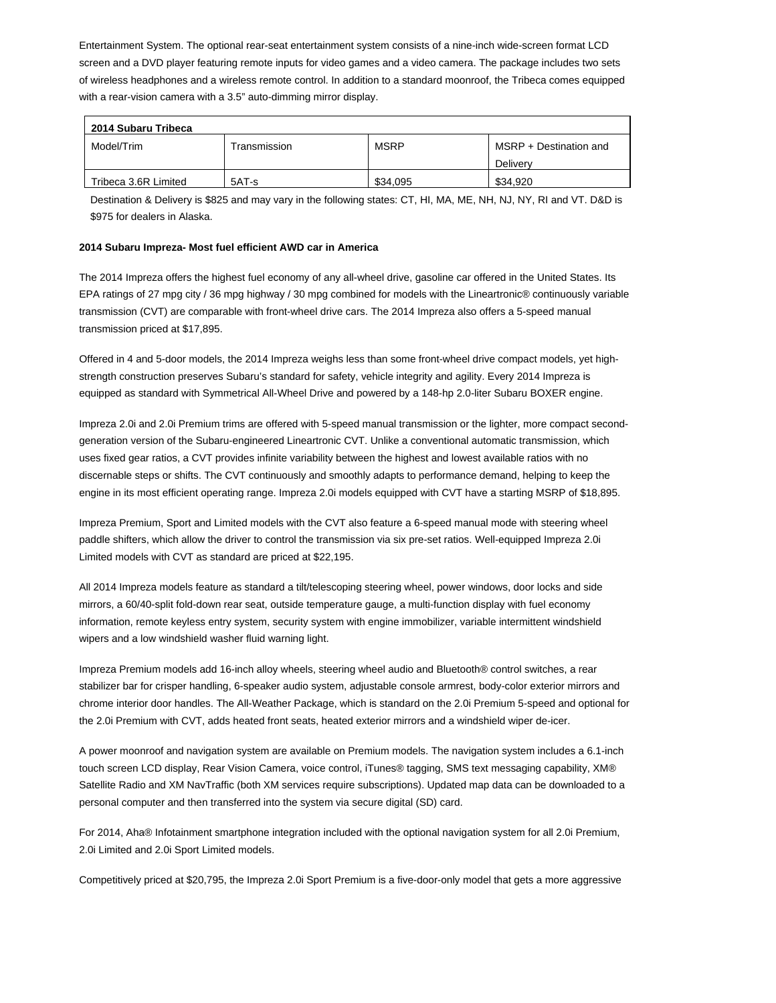Entertainment System. The optional rear-seat entertainment system consists of a nine-inch wide-screen format LCD screen and a DVD player featuring remote inputs for video games and a video camera. The package includes two sets of wireless headphones and a wireless remote control. In addition to a standard moonroof, the Tribeca comes equipped with a rear-vision camera with a 3.5" auto-dimming mirror display.

| 2014 Subaru Tribeca  |              |          |                        |  |
|----------------------|--------------|----------|------------------------|--|
| Model/Trim           | Fransmission | MSRP     | MSRP + Destination and |  |
|                      |              |          | Delivery               |  |
| Tribeca 3.6R Limited | 5AT-s        | \$34.095 | \$34.920               |  |

Destination & Delivery is \$825 and may vary in the following states: CT, HI, MA, ME, NH, NJ, NY, RI and VT. D&D is \$975 for dealers in Alaska.

#### **2014 Subaru Impreza- Most fuel efficient AWD car in America**

The 2014 Impreza offers the highest fuel economy of any all-wheel drive, gasoline car offered in the United States. Its EPA ratings of 27 mpg city / 36 mpg highway / 30 mpg combined for models with the Lineartronic® continuously variable transmission (CVT) are comparable with front-wheel drive cars. The 2014 Impreza also offers a 5-speed manual transmission priced at \$17,895.

Offered in 4 and 5-door models, the 2014 Impreza weighs less than some front-wheel drive compact models, yet highstrength construction preserves Subaru's standard for safety, vehicle integrity and agility. Every 2014 Impreza is equipped as standard with Symmetrical All-Wheel Drive and powered by a 148-hp 2.0-liter Subaru BOXER engine.

Impreza 2.0i and 2.0i Premium trims are offered with 5-speed manual transmission or the lighter, more compact secondgeneration version of the Subaru-engineered Lineartronic CVT. Unlike a conventional automatic transmission, which uses fixed gear ratios, a CVT provides infinite variability between the highest and lowest available ratios with no discernable steps or shifts. The CVT continuously and smoothly adapts to performance demand, helping to keep the engine in its most efficient operating range. Impreza 2.0i models equipped with CVT have a starting MSRP of \$18,895.

Impreza Premium, Sport and Limited models with the CVT also feature a 6-speed manual mode with steering wheel paddle shifters, which allow the driver to control the transmission via six pre-set ratios. Well-equipped Impreza 2.0i Limited models with CVT as standard are priced at \$22,195.

All 2014 Impreza models feature as standard a tilt/telescoping steering wheel, power windows, door locks and side mirrors, a 60/40-split fold-down rear seat, outside temperature gauge, a multi-function display with fuel economy information, remote keyless entry system, security system with engine immobilizer, variable intermittent windshield wipers and a low windshield washer fluid warning light.

Impreza Premium models add 16-inch alloy wheels, steering wheel audio and Bluetooth® control switches, a rear stabilizer bar for crisper handling, 6-speaker audio system, adjustable console armrest, body-color exterior mirrors and chrome interior door handles. The All-Weather Package, which is standard on the 2.0i Premium 5-speed and optional for the 2.0i Premium with CVT, adds heated front seats, heated exterior mirrors and a windshield wiper de-icer.

A power moonroof and navigation system are available on Premium models. The navigation system includes a 6.1-inch touch screen LCD display, Rear Vision Camera, voice control, iTunes® tagging, SMS text messaging capability, XM® Satellite Radio and XM NavTraffic (both XM services require subscriptions). Updated map data can be downloaded to a personal computer and then transferred into the system via secure digital (SD) card.

For 2014, Aha® Infotainment smartphone integration included with the optional navigation system for all 2.0i Premium, 2.0i Limited and 2.0i Sport Limited models.

Competitively priced at \$20,795, the Impreza 2.0i Sport Premium is a five-door-only model that gets a more aggressive